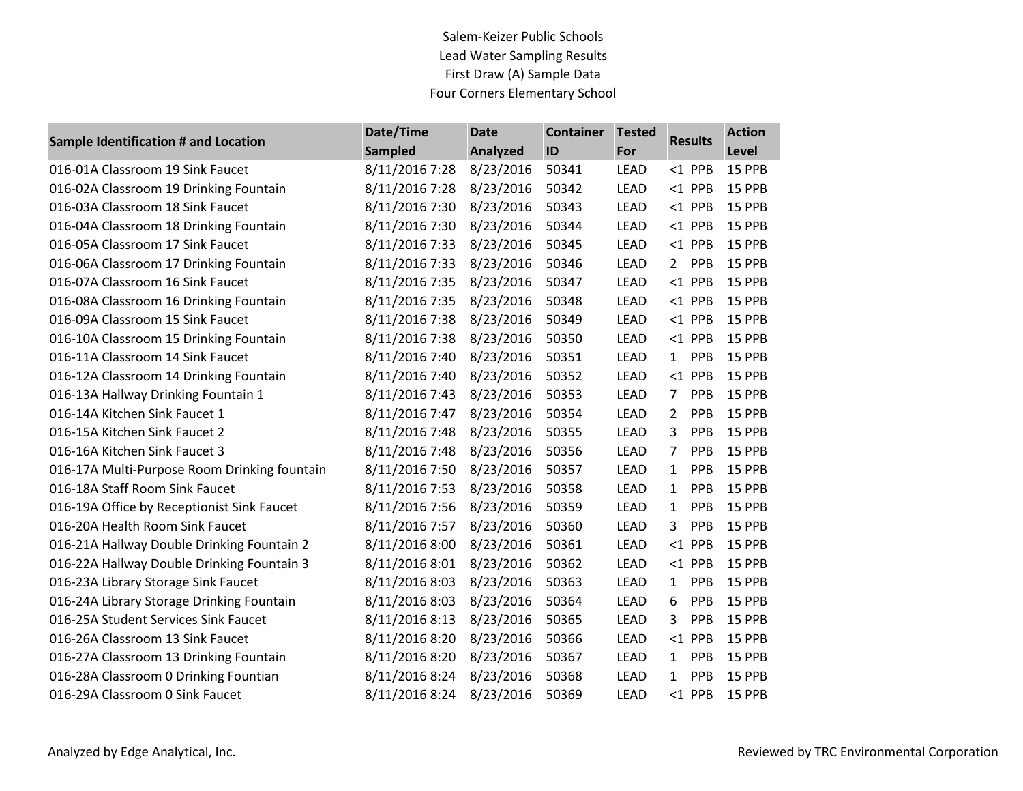Salem-Keizer Public Schools Lead Water Sampling Results First Draw (A) Sample Data Four Corners Elementary School

| Sample Identification # and Location         | Date/Time      | <b>Date</b>     | <b>Container</b> | <b>Tested</b> | <b>Results</b>        | <b>Action</b> |
|----------------------------------------------|----------------|-----------------|------------------|---------------|-----------------------|---------------|
|                                              | <b>Sampled</b> | <b>Analyzed</b> | ID               | For           |                       | Level         |
| 016-01A Classroom 19 Sink Faucet             | 8/11/2016 7:28 | 8/23/2016       | 50341            | <b>LEAD</b>   | $<$ 1 PPB             | 15 PPB        |
| 016-02A Classroom 19 Drinking Fountain       | 8/11/2016 7:28 | 8/23/2016       | 50342            | <b>LEAD</b>   | $<$ 1 PPB             | 15 PPB        |
| 016-03A Classroom 18 Sink Faucet             | 8/11/2016 7:30 | 8/23/2016       | 50343            | <b>LEAD</b>   | $<$ 1 PPB             | 15 PPB        |
| 016-04A Classroom 18 Drinking Fountain       | 8/11/2016 7:30 | 8/23/2016       | 50344            | <b>LEAD</b>   | $<$ 1 PPB             | 15 PPB        |
| 016-05A Classroom 17 Sink Faucet             | 8/11/2016 7:33 | 8/23/2016       | 50345            | <b>LEAD</b>   | $<$ 1 PPB             | 15 PPB        |
| 016-06A Classroom 17 Drinking Fountain       | 8/11/2016 7:33 | 8/23/2016       | 50346            | <b>LEAD</b>   | PPB<br>$2^{\circ}$    | 15 PPB        |
| 016-07A Classroom 16 Sink Faucet             | 8/11/2016 7:35 | 8/23/2016       | 50347            | <b>LEAD</b>   | $<$ 1 PPB             | 15 PPB        |
| 016-08A Classroom 16 Drinking Fountain       | 8/11/2016 7:35 | 8/23/2016       | 50348            | <b>LEAD</b>   | $<$ 1 PPB             | 15 PPB        |
| 016-09A Classroom 15 Sink Faucet             | 8/11/2016 7:38 | 8/23/2016       | 50349            | <b>LEAD</b>   | $<$ 1 PPB             | 15 PPB        |
| 016-10A Classroom 15 Drinking Fountain       | 8/11/2016 7:38 | 8/23/2016       | 50350            | <b>LEAD</b>   | $<$ 1 PPB             | 15 PPB        |
| 016-11A Classroom 14 Sink Faucet             | 8/11/2016 7:40 | 8/23/2016       | 50351            | <b>LEAD</b>   | PPB<br>$\mathbf{1}$   | 15 PPB        |
| 016-12A Classroom 14 Drinking Fountain       | 8/11/2016 7:40 | 8/23/2016       | 50352            | <b>LEAD</b>   | $<$ 1 PPB             | 15 PPB        |
| 016-13A Hallway Drinking Fountain 1          | 8/11/2016 7:43 | 8/23/2016       | 50353            | <b>LEAD</b>   | $\overline{7}$<br>PPB | 15 PPB        |
| 016-14A Kitchen Sink Faucet 1                | 8/11/2016 7:47 | 8/23/2016       | 50354            | <b>LEAD</b>   | $\overline{2}$<br>PPB | 15 PPB        |
| 016-15A Kitchen Sink Faucet 2                | 8/11/2016 7:48 | 8/23/2016       | 50355            | <b>LEAD</b>   | PPB<br>3              | 15 PPB        |
| 016-16A Kitchen Sink Faucet 3                | 8/11/2016 7:48 | 8/23/2016       | 50356            | <b>LEAD</b>   | 7<br>PPB              | 15 PPB        |
| 016-17A Multi-Purpose Room Drinking fountain | 8/11/2016 7:50 | 8/23/2016       | 50357            | <b>LEAD</b>   | PPB<br>1              | 15 PPB        |
| 016-18A Staff Room Sink Faucet               | 8/11/2016 7:53 | 8/23/2016       | 50358            | <b>LEAD</b>   | PPB<br>1              | 15 PPB        |
| 016-19A Office by Receptionist Sink Faucet   | 8/11/2016 7:56 | 8/23/2016       | 50359            | <b>LEAD</b>   | PPB<br>1              | 15 PPB        |
| 016-20A Health Room Sink Faucet              | 8/11/2016 7:57 | 8/23/2016       | 50360            | <b>LEAD</b>   | 3<br>PPB              | 15 PPB        |
| 016-21A Hallway Double Drinking Fountain 2   | 8/11/2016 8:00 | 8/23/2016       | 50361            | <b>LEAD</b>   | $<$ 1 PPB             | 15 PPB        |
| 016-22A Hallway Double Drinking Fountain 3   | 8/11/2016 8:01 | 8/23/2016       | 50362            | <b>LEAD</b>   | $<$ 1 PPB             | 15 PPB        |
| 016-23A Library Storage Sink Faucet          | 8/11/2016 8:03 | 8/23/2016       | 50363            | <b>LEAD</b>   | PPB<br>$\mathbf{1}$   | 15 PPB        |
| 016-24A Library Storage Drinking Fountain    | 8/11/2016 8:03 | 8/23/2016       | 50364            | <b>LEAD</b>   | 6<br>PPB              | 15 PPB        |
| 016-25A Student Services Sink Faucet         | 8/11/2016 8:13 | 8/23/2016       | 50365            | <b>LEAD</b>   | 3<br>PPB              | 15 PPB        |
| 016-26A Classroom 13 Sink Faucet             | 8/11/2016 8:20 | 8/23/2016       | 50366            | LEAD          | $<$ 1 PPB             | 15 PPB        |
| 016-27A Classroom 13 Drinking Fountain       | 8/11/2016 8:20 | 8/23/2016       | 50367            | <b>LEAD</b>   | PPB<br>$\mathbf{1}$   | 15 PPB        |
| 016-28A Classroom 0 Drinking Fountian        | 8/11/2016 8:24 | 8/23/2016       | 50368            | <b>LEAD</b>   | PPB<br>$\mathbf{1}$   | 15 PPB        |
| 016-29A Classroom 0 Sink Faucet              | 8/11/2016 8:24 | 8/23/2016       | 50369            | <b>LEAD</b>   | $<$ 1 PPB             | 15 PPB        |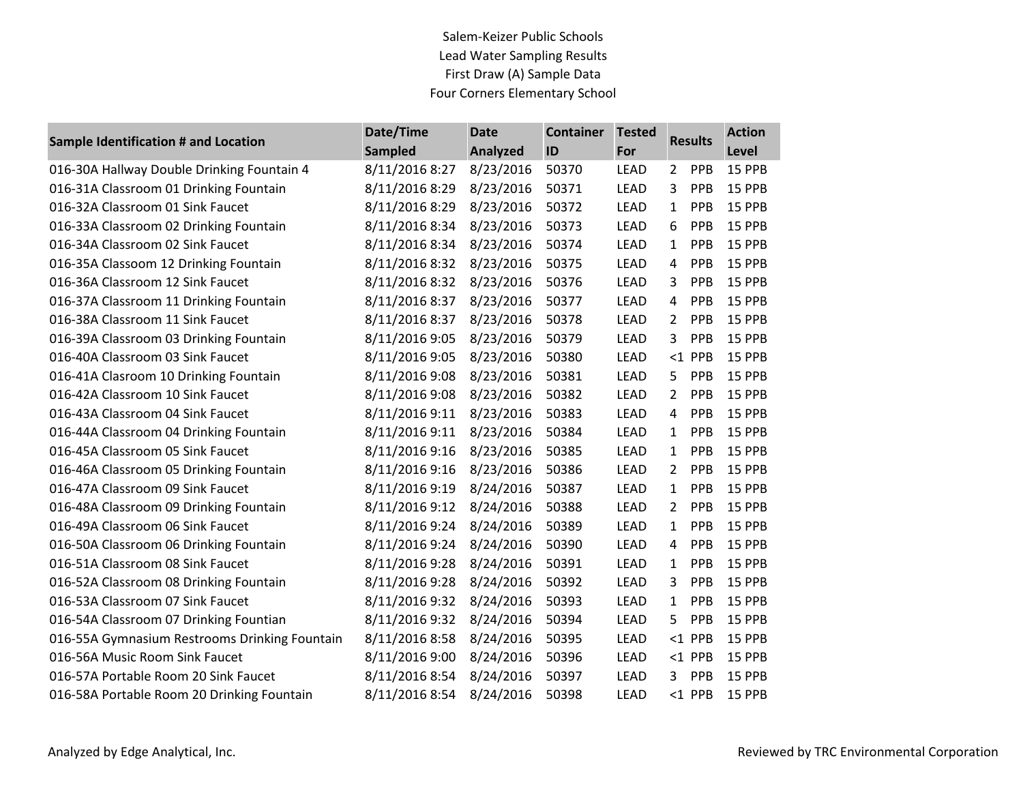Salem-Keizer Public Schools Lead Water Sampling Results First Draw (A) Sample Data Four Corners Elementary School

| Sample Identification # and Location          | Date/Time      | <b>Date</b>     | <b>Container</b> | <b>Tested</b> | <b>Results</b> |           | <b>Action</b> |
|-----------------------------------------------|----------------|-----------------|------------------|---------------|----------------|-----------|---------------|
|                                               | <b>Sampled</b> | <b>Analyzed</b> | ID               | For           |                |           | Level         |
| 016-30A Hallway Double Drinking Fountain 4    | 8/11/2016 8:27 | 8/23/2016       | 50370            | <b>LEAD</b>   | $\overline{2}$ | PPB       | 15 PPB        |
| 016-31A Classroom 01 Drinking Fountain        | 8/11/2016 8:29 | 8/23/2016       | 50371            | <b>LEAD</b>   | 3              | PPB       | 15 PPB        |
| 016-32A Classroom 01 Sink Faucet              | 8/11/2016 8:29 | 8/23/2016       | 50372            | LEAD          | $\mathbf{1}$   | PPB       | 15 PPB        |
| 016-33A Classroom 02 Drinking Fountain        | 8/11/2016 8:34 | 8/23/2016       | 50373            | <b>LEAD</b>   | 6              | PPB       | 15 PPB        |
| 016-34A Classroom 02 Sink Faucet              | 8/11/2016 8:34 | 8/23/2016       | 50374            | LEAD          | $\mathbf{1}$   | PPB       | 15 PPB        |
| 016-35A Classoom 12 Drinking Fountain         | 8/11/2016 8:32 | 8/23/2016       | 50375            | LEAD          | 4              | PPB       | 15 PPB        |
| 016-36A Classroom 12 Sink Faucet              | 8/11/2016 8:32 | 8/23/2016       | 50376            | LEAD          | 3              | PPB       | 15 PPB        |
| 016-37A Classroom 11 Drinking Fountain        | 8/11/2016 8:37 | 8/23/2016       | 50377            | LEAD          | 4              | PPB       | 15 PPB        |
| 016-38A Classroom 11 Sink Faucet              | 8/11/2016 8:37 | 8/23/2016       | 50378            | <b>LEAD</b>   | $\mathbf{2}$   | PPB       | 15 PPB        |
| 016-39A Classroom 03 Drinking Fountain        | 8/11/2016 9:05 | 8/23/2016       | 50379            | LEAD          | 3              | PPB       | 15 PPB        |
| 016-40A Classroom 03 Sink Faucet              | 8/11/2016 9:05 | 8/23/2016       | 50380            | LEAD          |                | <1 PPB    | 15 PPB        |
| 016-41A Clasroom 10 Drinking Fountain         | 8/11/2016 9:08 | 8/23/2016       | 50381            | LEAD          | 5.             | PPB       | 15 PPB        |
| 016-42A Classroom 10 Sink Faucet              | 8/11/2016 9:08 | 8/23/2016       | 50382            | LEAD          | $\overline{2}$ | PPB       | 15 PPB        |
| 016-43A Classroom 04 Sink Faucet              | 8/11/2016 9:11 | 8/23/2016       | 50383            | LEAD          | 4              | PPB       | 15 PPB        |
| 016-44A Classroom 04 Drinking Fountain        | 8/11/2016 9:11 | 8/23/2016       | 50384            | LEAD          | $\mathbf{1}$   | PPB       | 15 PPB        |
| 016-45A Classroom 05 Sink Faucet              | 8/11/2016 9:16 | 8/23/2016       | 50385            | <b>LEAD</b>   | $\mathbf{1}$   | PPB       | 15 PPB        |
| 016-46A Classroom 05 Drinking Fountain        | 8/11/2016 9:16 | 8/23/2016       | 50386            | LEAD          | $\overline{2}$ | PPB       | 15 PPB        |
| 016-47A Classroom 09 Sink Faucet              | 8/11/2016 9:19 | 8/24/2016       | 50387            | LEAD          | $\mathbf{1}$   | PPB       | 15 PPB        |
| 016-48A Classroom 09 Drinking Fountain        | 8/11/2016 9:12 | 8/24/2016       | 50388            | LEAD          | $\mathbf{2}$   | PPB       | 15 PPB        |
| 016-49A Classroom 06 Sink Faucet              | 8/11/2016 9:24 | 8/24/2016       | 50389            | LEAD          | $\mathbf{1}$   | PPB       | 15 PPB        |
| 016-50A Classroom 06 Drinking Fountain        | 8/11/2016 9:24 | 8/24/2016       | 50390            | LEAD          | 4              | PPB       | 15 PPB        |
| 016-51A Classroom 08 Sink Faucet              | 8/11/2016 9:28 | 8/24/2016       | 50391            | LEAD          | $\mathbf{1}$   | PPB       | 15 PPB        |
| 016-52A Classroom 08 Drinking Fountain        | 8/11/2016 9:28 | 8/24/2016       | 50392            | LEAD          | 3              | PPB       | 15 PPB        |
| 016-53A Classroom 07 Sink Faucet              | 8/11/2016 9:32 | 8/24/2016       | 50393            | LEAD          | $\mathbf{1}$   | PPB       | 15 PPB        |
| 016-54A Classroom 07 Drinking Fountian        | 8/11/2016 9:32 | 8/24/2016       | 50394            | <b>LEAD</b>   | 5              | PPB       | 15 PPB        |
| 016-55A Gymnasium Restrooms Drinking Fountain | 8/11/2016 8:58 | 8/24/2016       | 50395            | LEAD          |                | $<$ 1 PPB | 15 PPB        |
| 016-56A Music Room Sink Faucet                | 8/11/2016 9:00 | 8/24/2016       | 50396            | <b>LEAD</b>   |                | $<$ 1 PPB | 15 PPB        |
| 016-57A Portable Room 20 Sink Faucet          | 8/11/2016 8:54 | 8/24/2016       | 50397            | <b>LEAD</b>   |                | 3 PPB     | 15 PPB        |
| 016-58A Portable Room 20 Drinking Fountain    | 8/11/2016 8:54 | 8/24/2016       | 50398            | LEAD          |                | $<$ 1 PPB | 15 PPB        |